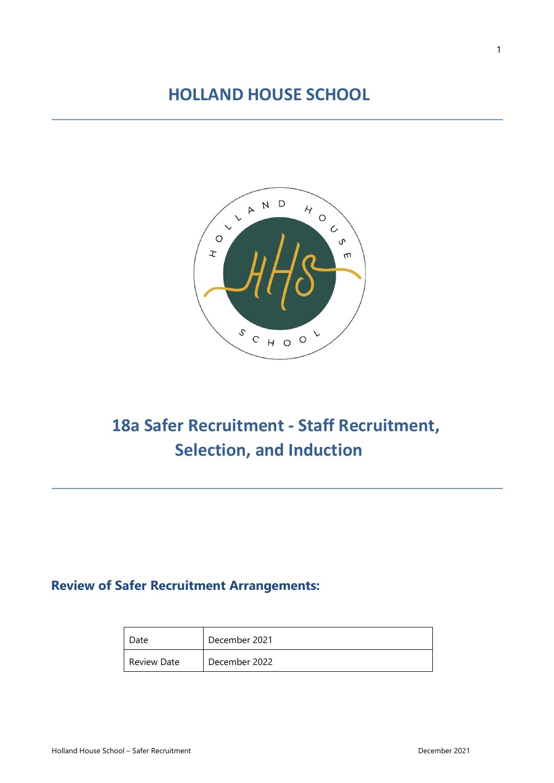## **HOLLAND HOUSE SCHOOL**



# **18a Safer Recruitment - Staff Recruitment, Selection, and Induction**

### **Review of Safer Recruitment Arrangements:**

| Date        | December 2021 |
|-------------|---------------|
| Review Date | December 2022 |

j.

j.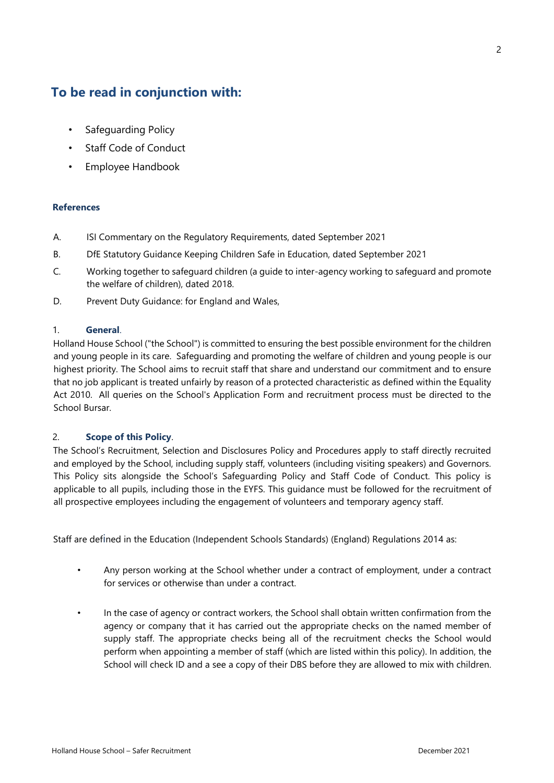### **To be read in conjunction with:**

- Safeguarding Policy
- Staff Code of Conduct
- Employee Handbook

### **References**

- A. ISI Commentary on the Regulatory Requirements, dated September 2021
- B. DfE Statutory Guidance Keeping Children Safe in Education, dated September 2021
- C. Working together to safeguard children (a guide to inter-agency working to safeguard and promote the welfare of children), dated 2018.
- D. Prevent Duty Guidance: for England and Wales,

### 1. **General**.

Holland House School ("the School") is committed to ensuring the best possible environment for the children and young people in its care. Safeguarding and promoting the welfare of children and young people is our highest priority. The School aims to recruit staff that share and understand our commitment and to ensure that no job applicant is treated unfairly by reason of a protected characteristic as defined within the Equality Act 2010. All queries on the School's Application Form and recruitment process must be directed to the School Bursar.

### 2. **Scope of this Policy**.

The School's Recruitment, Selection and Disclosures Policy and Procedures apply to staff directly recruited and employed by the School, including supply staff, volunteers (including visiting speakers) and Governors. This Policy sits alongside the School's Safeguarding Policy and Staff Code of Conduct. This policy is applicable to all pupils, including those in the EYFS. This guidance must be followed for the recruitment of all prospective employees including the engagement of volunteers and temporary agency staff.

Staff are defined in the Education (Independent Schools Standards) (England) Regulations 2014 as:

- Any person working at the School whether under a contract of employment, under a contract for services or otherwise than under a contract.
- In the case of agency or contract workers, the School shall obtain written confirmation from the agency or company that it has carried out the appropriate checks on the named member of supply staff. The appropriate checks being all of the recruitment checks the School would perform when appointing a member of staff (which are listed within this policy). In addition, the School will check ID and a see a copy of their DBS before they are allowed to mix with children.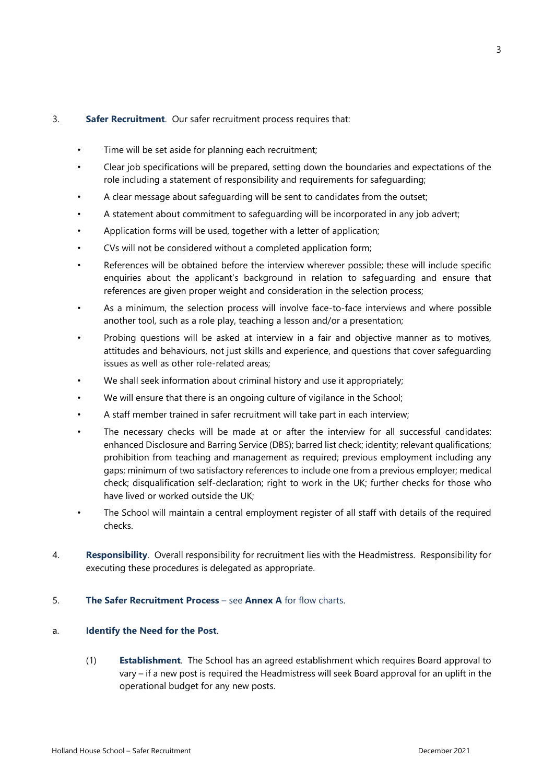### 3. **Safer Recruitment**. Our safer recruitment process requires that:

- Time will be set aside for planning each recruitment;
- Clear job specifications will be prepared, setting down the boundaries and expectations of the role including a statement of responsibility and requirements for safeguarding;
- A clear message about safeguarding will be sent to candidates from the outset;
- A statement about commitment to safeguarding will be incorporated in any job advert;
- Application forms will be used, together with a letter of application;
- CVs will not be considered without a completed application form;
- References will be obtained before the interview wherever possible; these will include specific enquiries about the applicant's background in relation to safeguarding and ensure that references are given proper weight and consideration in the selection process;
- As a minimum, the selection process will involve face-to-face interviews and where possible another tool, such as a role play, teaching a lesson and/or a presentation;
- Probing questions will be asked at interview in a fair and objective manner as to motives, attitudes and behaviours, not just skills and experience, and questions that cover safeguarding issues as well as other role-related areas;
- We shall seek information about criminal history and use it appropriately;
- We will ensure that there is an ongoing culture of vigilance in the School;
- A staff member trained in safer recruitment will take part in each interview;
- The necessary checks will be made at or after the interview for all successful candidates: enhanced Disclosure and Barring Service (DBS); barred list check; identity; relevant qualifications; prohibition from teaching and management as required; previous employment including any gaps; minimum of two satisfactory references to include one from a previous employer; medical check; disqualification self-declaration; right to work in the UK; further checks for those who have lived or worked outside the UK;
- The School will maintain a central employment register of all staff with details of the required checks.
- 4. **Responsibility**. Overall responsibility for recruitment lies with the Headmistress. Responsibility for executing these procedures is delegated as appropriate.
- 5. **The Safer Recruitment Process**  see **Annex A** for flow charts.

### a. **Identify the Need for the Post**.

(1) **Establishment**. The School has an agreed establishment which requires Board approval to vary – if a new post is required the Headmistress will seek Board approval for an uplift in the operational budget for any new posts.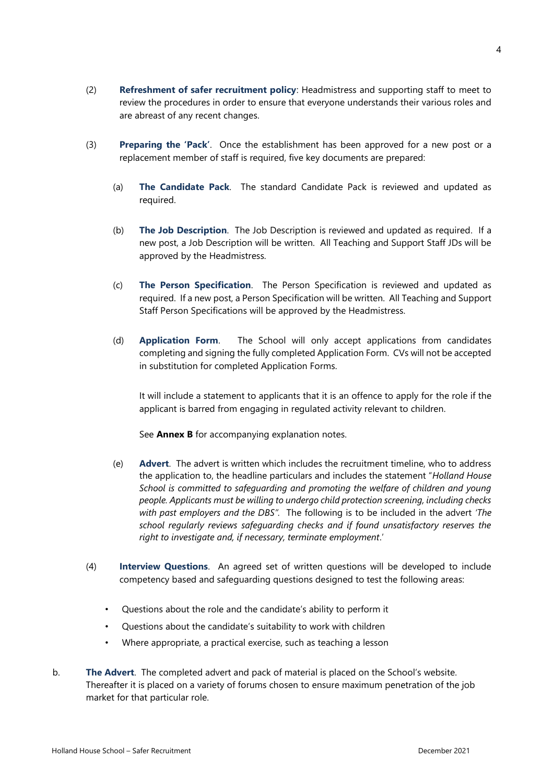- (2) **Refreshment of safer recruitment policy**: Headmistress and supporting staff to meet to review the procedures in order to ensure that everyone understands their various roles and are abreast of any recent changes.
- (3) **Preparing the 'Pack'**. Once the establishment has been approved for a new post or a replacement member of staff is required, five key documents are prepared:
	- (a) **The Candidate Pack**. The standard Candidate Pack is reviewed and updated as required.
	- (b) **The Job Description**. The Job Description is reviewed and updated as required. If a new post, a Job Description will be written. All Teaching and Support Staff JDs will be approved by the Headmistress.
	- (c) **The Person Specification**. The Person Specification is reviewed and updated as required. If a new post, a Person Specification will be written. All Teaching and Support Staff Person Specifications will be approved by the Headmistress.
	- (d) **Application Form**. The School will only accept applications from candidates completing and signing the fully completed Application Form. CVs will not be accepted in substitution for completed Application Forms.

It will include a statement to applicants that it is an offence to apply for the role if the applicant is barred from engaging in regulated activity relevant to children.

See **Annex B** for accompanying explanation notes.

- (e) **Advert**. The advert is written which includes the recruitment timeline, who to address the application to, the headline particulars and includes the statement "*Holland House School is committed to safeguarding and promoting the welfare of children and young people. Applicants must be willing to undergo child protection screening, including checks with past employers and the DBS".* The following is to be included in the advert *'The school regularly reviews safeguarding checks and if found unsatisfactory reserves the right to investigate and, if necessary, terminate employment*.'
- (4) **Interview Questions**. An agreed set of written questions will be developed to include competency based and safeguarding questions designed to test the following areas:
	- Questions about the role and the candidate's ability to perform it
	- Questions about the candidate's suitability to work with children
	- Where appropriate, a practical exercise, such as teaching a lesson
- b. **The Advert**. The completed advert and pack of material is placed on the School's website. Thereafter it is placed on a variety of forums chosen to ensure maximum penetration of the job market for that particular role.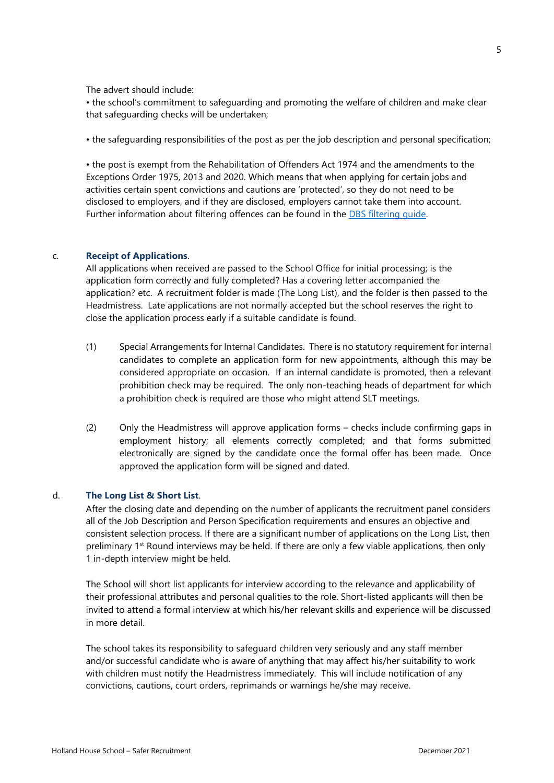The advert should include:

• the school's commitment to safeguarding and promoting the welfare of children and make clear that safeguarding checks will be undertaken;

• the safeguarding responsibilities of the post as per the job description and personal specification;

• the post is exempt from the Rehabilitation of Offenders Act 1974 and the amendments to the Exceptions Order 1975, 2013 and 2020. Which means that when applying for certain jobs and activities certain spent convictions and cautions are 'protected', so they do not need to be disclosed to employers, and if they are disclosed, employers cannot take them into account. Further information about filtering offences can be found in the [DBS filtering guide.](https://www.gov.uk/government/publications/dbs-filtering-guidance)

#### c. **Receipt of Applications**.

All applications when received are passed to the School Office for initial processing; is the application form correctly and fully completed? Has a covering letter accompanied the application? etc. A recruitment folder is made (The Long List), and the folder is then passed to the Headmistress. Late applications are not normally accepted but the school reserves the right to close the application process early if a suitable candidate is found.

- (1) Special Arrangements for Internal Candidates. There is no statutory requirement for internal candidates to complete an application form for new appointments, although this may be considered appropriate on occasion. If an internal candidate is promoted, then a relevant prohibition check may be required. The only non-teaching heads of department for which a prohibition check is required are those who might attend SLT meetings.
- (2) Only the Headmistress will approve application forms checks include confirming gaps in employment history; all elements correctly completed; and that forms submitted electronically are signed by the candidate once the formal offer has been made. Once approved the application form will be signed and dated.

### d. **The Long List & Short List**.

After the closing date and depending on the number of applicants the recruitment panel considers all of the Job Description and Person Specification requirements and ensures an objective and consistent selection process. If there are a significant number of applications on the Long List, then preliminary 1<sup>st</sup> Round interviews may be held. If there are only a few viable applications, then only 1 in-depth interview might be held.

The School will short list applicants for interview according to the relevance and applicability of their professional attributes and personal qualities to the role. Short-listed applicants will then be invited to attend a formal interview at which his/her relevant skills and experience will be discussed in more detail.

The school takes its responsibility to safeguard children very seriously and any staff member and/or successful candidate who is aware of anything that may affect his/her suitability to work with children must notify the Headmistress immediately. This will include notification of any convictions, cautions, court orders, reprimands or warnings he/she may receive.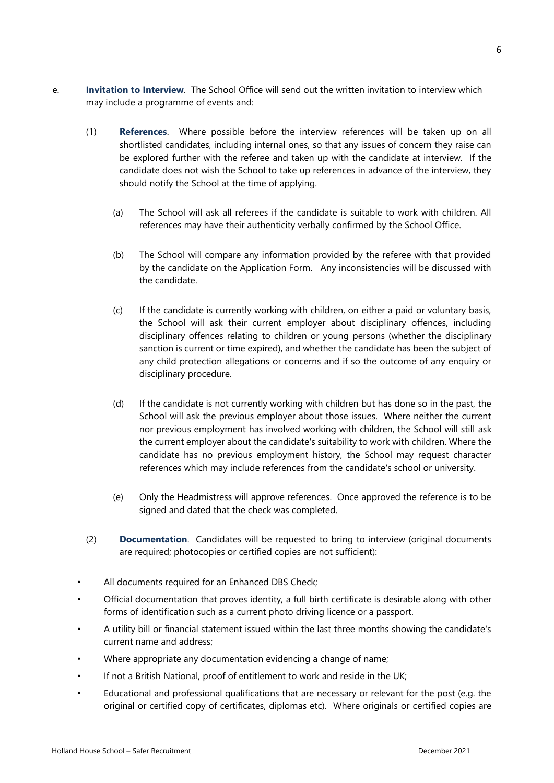6

- e. **Invitation to Interview**. The School Office will send out the written invitation to interview which may include a programme of events and:
	- (1) **References**. Where possible before the interview references will be taken up on all shortlisted candidates, including internal ones, so that any issues of concern they raise can be explored further with the referee and taken up with the candidate at interview. If the candidate does not wish the School to take up references in advance of the interview, they should notify the School at the time of applying.
		- (a) The School will ask all referees if the candidate is suitable to work with children. All references may have their authenticity verbally confirmed by the School Office.
		- (b) The School will compare any information provided by the referee with that provided by the candidate on the Application Form. Any inconsistencies will be discussed with the candidate.
		- (c) If the candidate is currently working with children, on either a paid or voluntary basis, the School will ask their current employer about disciplinary offences, including disciplinary offences relating to children or young persons (whether the disciplinary sanction is current or time expired), and whether the candidate has been the subject of any child protection allegations or concerns and if so the outcome of any enquiry or disciplinary procedure.
		- (d) If the candidate is not currently working with children but has done so in the past, the School will ask the previous employer about those issues. Where neither the current nor previous employment has involved working with children, the School will still ask the current employer about the candidate's suitability to work with children. Where the candidate has no previous employment history, the School may request character references which may include references from the candidate's school or university.
		- (e) Only the Headmistress will approve references. Once approved the reference is to be signed and dated that the check was completed.
	- (2) **Documentation**. Candidates will be requested to bring to interview (original documents are required; photocopies or certified copies are not sufficient):
	- All documents required for an Enhanced DBS Check;
	- Official documentation that proves identity, a full birth certificate is desirable along with other forms of identification such as a current photo driving licence or a passport.
	- A utility bill or financial statement issued within the last three months showing the candidate's current name and address;
	- Where appropriate any documentation evidencing a change of name;
	- If not a British National, proof of entitlement to work and reside in the UK;
	- Educational and professional qualifications that are necessary or relevant for the post (e.g. the original or certified copy of certificates, diplomas etc). Where originals or certified copies are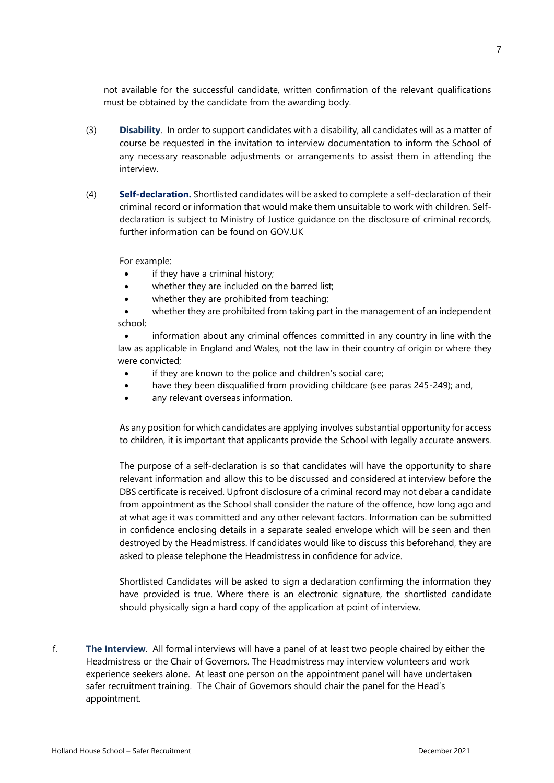not available for the successful candidate, written confirmation of the relevant qualifications must be obtained by the candidate from the awarding body.

- (3) **Disability**. In order to support candidates with a disability, all candidates will as a matter of course be requested in the invitation to interview documentation to inform the School of any necessary reasonable adjustments or arrangements to assist them in attending the interview.
- (4) **Self-declaration.** Shortlisted candidates will be asked to complete a self-declaration of their criminal record or information that would make them unsuitable to work with children. Selfdeclaration is subject to Ministry of Justice guidance on the disclosure of criminal records, further information can be found on GOV.UK

For example:

- if they have a criminal history;
- whether they are included on the barred list;
- whether they are prohibited from teaching;
- whether they are prohibited from taking part in the management of an independent school;

information about any criminal offences committed in any country in line with the law as applicable in England and Wales, not the law in their country of origin or where they were convicted;

- if they are known to the police and children's social care;
- have they been disqualified from providing childcare (see paras 245-249); and,
- any relevant overseas information.

As any position for which candidates are applying involves substantial opportunity for access to children, it is important that applicants provide the School with legally accurate answers.

The purpose of a self-declaration is so that candidates will have the opportunity to share relevant information and allow this to be discussed and considered at interview before the DBS certificate is received. Upfront disclosure of a criminal record may not debar a candidate from appointment as the School shall consider the nature of the offence, how long ago and at what age it was committed and any other relevant factors. Information can be submitted in confidence enclosing details in a separate sealed envelope which will be seen and then destroyed by the Headmistress. If candidates would like to discuss this beforehand, they are asked to please telephone the Headmistress in confidence for advice.

Shortlisted Candidates will be asked to sign a declaration confirming the information they have provided is true. Where there is an electronic signature, the shortlisted candidate should physically sign a hard copy of the application at point of interview.

f. **The Interview**. All formal interviews will have a panel of at least two people chaired by either the Headmistress or the Chair of Governors. The Headmistress may interview volunteers and work experience seekers alone. At least one person on the appointment panel will have undertaken safer recruitment training. The Chair of Governors should chair the panel for the Head's appointment.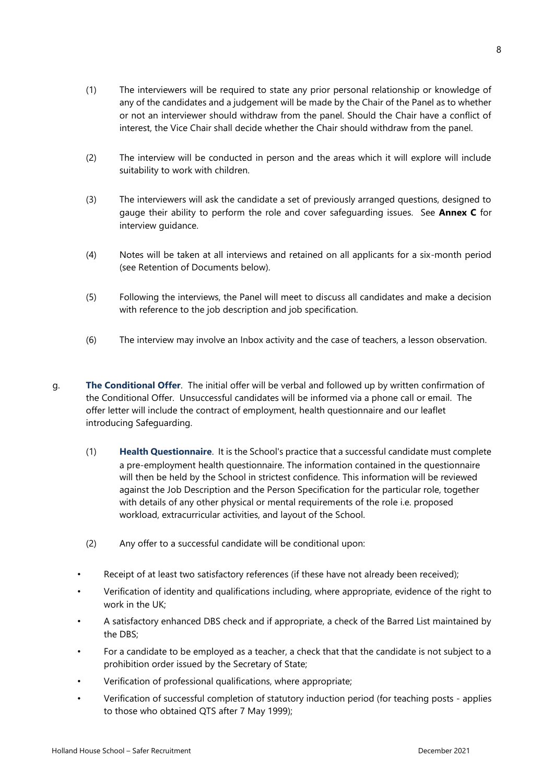- (1) The interviewers will be required to state any prior personal relationship or knowledge of any of the candidates and a judgement will be made by the Chair of the Panel as to whether or not an interviewer should withdraw from the panel. Should the Chair have a conflict of interest, the Vice Chair shall decide whether the Chair should withdraw from the panel.
- (2) The interview will be conducted in person and the areas which it will explore will include suitability to work with children.
- (3) The interviewers will ask the candidate a set of previously arranged questions, designed to gauge their ability to perform the role and cover safeguarding issues. See **Annex C** for interview guidance.
- (4) Notes will be taken at all interviews and retained on all applicants for a six-month period (see Retention of Documents below).
- (5) Following the interviews, the Panel will meet to discuss all candidates and make a decision with reference to the job description and job specification.
- (6) The interview may involve an Inbox activity and the case of teachers, a lesson observation.
- g. **The Conditional Offer**. The initial offer will be verbal and followed up by written confirmation of the Conditional Offer. Unsuccessful candidates will be informed via a phone call or email. The offer letter will include the contract of employment, health questionnaire and our leaflet introducing Safeguarding.
	- (1) **Health Questionnaire**. It is the School's practice that a successful candidate must complete a pre-employment health questionnaire. The information contained in the questionnaire will then be held by the School in strictest confidence. This information will be reviewed against the Job Description and the Person Specification for the particular role, together with details of any other physical or mental requirements of the role i.e. proposed workload, extracurricular activities, and layout of the School.
	- (2) Any offer to a successful candidate will be conditional upon:
	- Receipt of at least two satisfactory references (if these have not already been received);
	- Verification of identity and qualifications including, where appropriate, evidence of the right to work in the UK;
	- A satisfactory enhanced DBS check and if appropriate, a check of the Barred List maintained by the DBS;
	- For a candidate to be employed as a teacher, a check that that the candidate is not subject to a prohibition order issued by the Secretary of State;
	- Verification of professional qualifications, where appropriate;
	- Verification of successful completion of statutory induction period (for teaching posts applies to those who obtained QTS after 7 May 1999);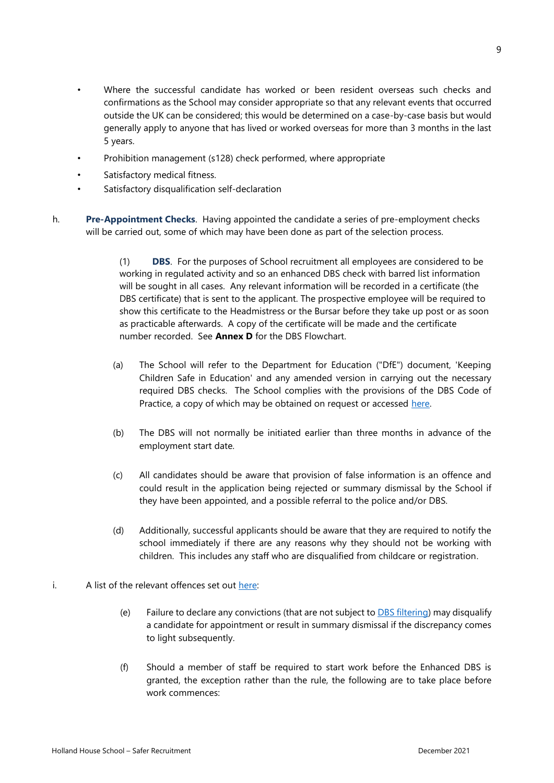- Where the successful candidate has worked or been resident overseas such checks and confirmations as the School may consider appropriate so that any relevant events that occurred outside the UK can be considered; this would be determined on a case-by-case basis but would generally apply to anyone that has lived or worked overseas for more than 3 months in the last 5 years.
- Prohibition management (s128) check performed, where appropriate
- Satisfactory medical fitness.
- Satisfactory disqualification self-declaration
- h. **Pre-Appointment Checks**. Having appointed the candidate a series of pre-employment checks will be carried out, some of which may have been done as part of the selection process.

(1) **DBS**. For the purposes of School recruitment all employees are considered to be working in regulated activity and so an enhanced DBS check with barred list information will be sought in all cases. Any relevant information will be recorded in a certificate (the DBS certificate) that is sent to the applicant. The prospective employee will be required to show this certificate to the Headmistress or the Bursar before they take up post or as soon as practicable afterwards. A copy of the certificate will be made and the certificate number recorded. See **Annex D** for the DBS Flowchart.

- (a) The School will refer to the Department for Education ("DfE") document, 'Keeping Children Safe in Education' and any amended version in carrying out the necessary required DBS checks. The School complies with the provisions of the DBS Code of Practice, a copy of which may be obtained on request or accessed [here.](https://www.gov.uk/government/publications/dbs-code-of-practice)
- (b) The DBS will not normally be initiated earlier than three months in advance of the employment start date.
- (c) All candidates should be aware that provision of false information is an offence and could result in the application being rejected or summary dismissal by the School if they have been appointed, and a possible referral to the police and/or DBS.
- (d) Additionally, successful applicants should be aware that they are required to notify the school immediately if there are any reasons why they should not be working with children. This includes any staff who are disqualified from childcare or registration.
- i. A list of the relevant offences set out [here:](https://www.gov.uk/government/publications/dbs-list-of-offences-that-will-never-be-filtered-from-a-criminal-record-check)
	- (e) Failure to declare any convictions (that are not subject to  $DBS$  filtering) may disqualify a candidate for appointment or result in summary dismissal if the discrepancy comes to light subsequently.
	- (f) Should a member of staff be required to start work before the Enhanced DBS is granted, the exception rather than the rule, the following are to take place before work commences: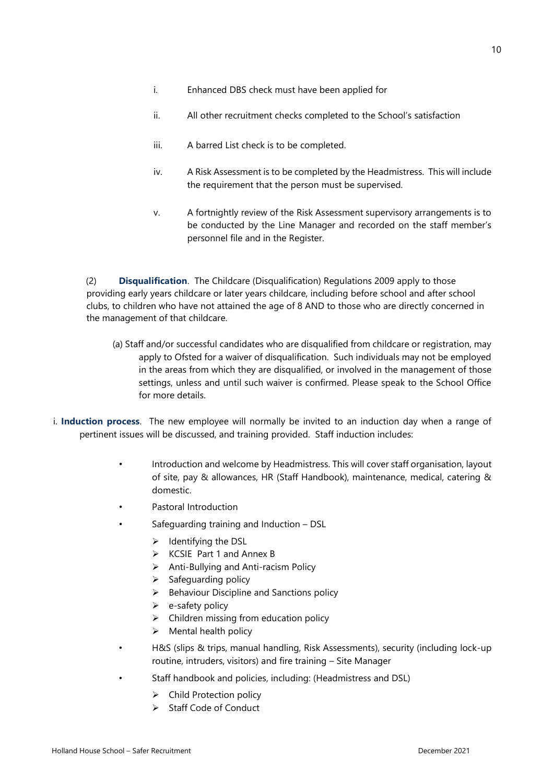- i. Enhanced DBS check must have been applied for
- ii. All other recruitment checks completed to the School's satisfaction
- iii. A barred List check is to be completed.
- iv. A Risk Assessment is to be completed by the Headmistress. This will include the requirement that the person must be supervised.
- v. A fortnightly review of the Risk Assessment supervisory arrangements is to be conducted by the Line Manager and recorded on the staff member's personnel file and in the Register.

(2) **Disqualification**. The Childcare (Disqualification) Regulations 2009 apply to those providing early years childcare or later years childcare, including before school and after school clubs, to children who have not attained the age of 8 AND to those who are directly concerned in the management of that childcare.

- (a) Staff and/or successful candidates who are disqualified from childcare or registration, may apply to Ofsted for a waiver of disqualification. Such individuals may not be employed in the areas from which they are disqualified, or involved in the management of those settings, unless and until such waiver is confirmed. Please speak to the School Office for more details.
- i. **Induction process**. The new employee will normally be invited to an induction day when a range of pertinent issues will be discussed, and training provided. Staff induction includes:
	- Introduction and welcome by Headmistress. This will cover staff organisation, layout of site, pay & allowances, HR (Staff Handbook), maintenance, medical, catering & domestic.
	- Pastoral Introduction
	- Safeguarding training and Induction DSL
		- ➢ Identifying the DSL
		- ➢ KCSIE Part 1 and Annex B
		- ➢ Anti-Bullying and Anti-racism Policy
		- ➢ Safeguarding policy
		- ➢ Behaviour Discipline and Sanctions policy
		- $\triangleright$  e-safety policy
		- $\triangleright$  Children missing from education policy
		- $\triangleright$  Mental health policy
	- H&S (slips & trips, manual handling, Risk Assessments), security (including lock-up routine, intruders, visitors) and fire training – Site Manager
	- Staff handbook and policies, including: (Headmistress and DSL)
		- ➢ Child Protection policy
		- ➢ Staff Code of Conduct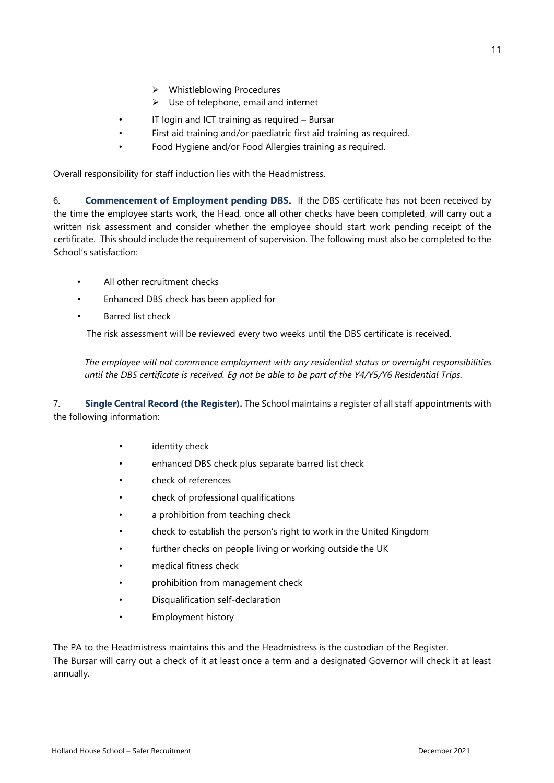- ➢ Whistleblowing Procedures
- $\triangleright$  Use of telephone, email and internet
- IT login and ICT training as required Bursar
- First aid training and/or paediatric first aid training as required.
- Food Hygiene and/or Food Allergies training as required.

Overall responsibility for staff induction lies with the Headmistress.

6. **Commencement of Employment pending DBS.** If the DBS certificate has not been received by the time the employee starts work, the Head, once all other checks have been completed, will carry out a written risk assessment and consider whether the employee should start work pending receipt of the certificate. This should include the requirement of supervision. The following must also be completed to the School's satisfaction:

- All other recruitment checks
- Enhanced DBS check has been applied for
- Barred list check

The risk assessment will be reviewed every two weeks until the DBS certificate is received.

*The employee will not commence employment with any residential status or overnight responsibilities until the DBS certificate is received. Eg not be able to be part of the Y4/Y5/Y6 Residential Trips.*

7. **Single Central Record (the Register).** The School maintains a register of all staff appointments with the following information:

- identity check
- enhanced DBS check plus separate barred list check
- check of references
- check of professional qualifications
- a prohibition from teaching check
- check to establish the person's right to work in the United Kingdom
- further checks on people living or working outside the UK
- medical fitness check
- prohibition from management check
- Disqualification self-declaration
- Employment history

The PA to the Headmistress maintains this and the Headmistress is the custodian of the Register. The Bursar will carry out a check of it at least once a term and a designated Governor will check it at least annually.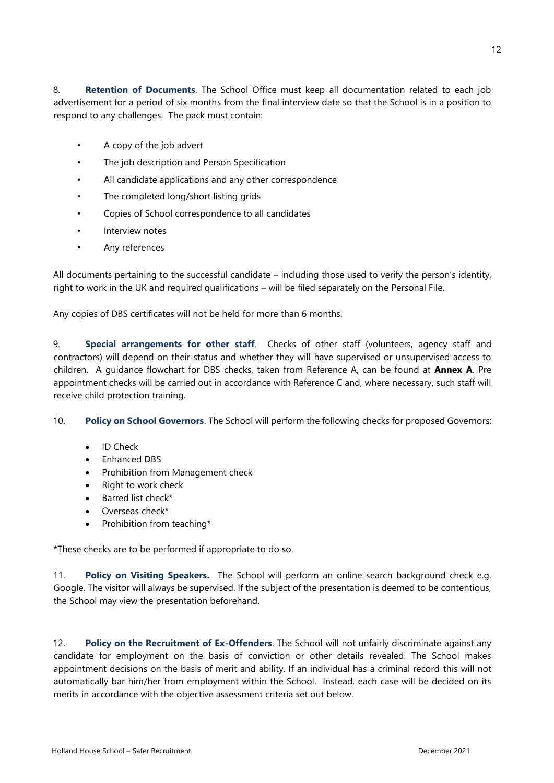12

8. **Retention of Documents**. The School Office must keep all documentation related to each job advertisement for a period of six months from the final interview date so that the School is in a position to respond to any challenges. The pack must contain:

- A copy of the job advert
- The job description and Person Specification
- All candidate applications and any other correspondence
- The completed long/short listing grids
- Copies of School correspondence to all candidates
- Interview notes
- Any references

All documents pertaining to the successful candidate – including those used to verify the person's identity, right to work in the UK and required qualifications – will be filed separately on the Personal File.

Any copies of DBS certificates will not be held for more than 6 months.

9. **Special arrangements for other staff**. Checks of other staff (volunteers, agency staff and contractors) will depend on their status and whether they will have supervised or unsupervised access to children. A guidance flowchart for DBS checks, taken from Reference A, can be found at **Annex A**. Pre appointment checks will be carried out in accordance with Reference C and, where necessary, such staff will receive child protection training.

10. **Policy on School Governors**. The School will perform the following checks for proposed Governors:

- ID Check
- Enhanced DBS
- Prohibition from Management check
- Right to work check
- Barred list check\*
- Overseas check\*
- Prohibition from teaching\*

\*These checks are to be performed if appropriate to do so.

11. **Policy on Visiting Speakers.** The School will perform an online search background check e.g. Google. The visitor will always be supervised. If the subject of the presentation is deemed to be contentious, the School may view the presentation beforehand.

12. **Policy on the Recruitment of Ex-Offenders**. The School will not unfairly discriminate against any candidate for employment on the basis of conviction or other details revealed. The School makes appointment decisions on the basis of merit and ability. If an individual has a criminal record this will not automatically bar him/her from employment within the School. Instead, each case will be decided on its merits in accordance with the objective assessment criteria set out below.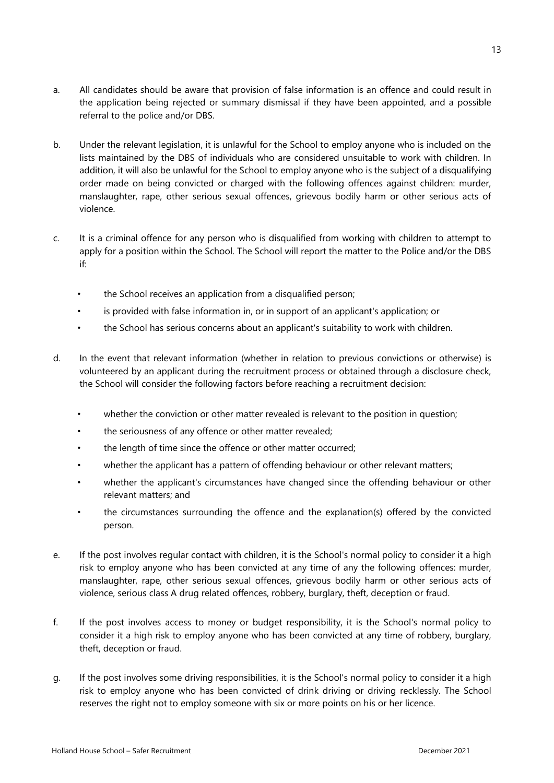- a. All candidates should be aware that provision of false information is an offence and could result in the application being rejected or summary dismissal if they have been appointed, and a possible referral to the police and/or DBS.
- b. Under the relevant legislation, it is unlawful for the School to employ anyone who is included on the lists maintained by the DBS of individuals who are considered unsuitable to work with children. In addition, it will also be unlawful for the School to employ anyone who is the subject of a disqualifying order made on being convicted or charged with the following offences against children: murder, manslaughter, rape, other serious sexual offences, grievous bodily harm or other serious acts of violence.
- c. It is a criminal offence for any person who is disqualified from working with children to attempt to apply for a position within the School. The School will report the matter to the Police and/or the DBS if:
	- the School receives an application from a disqualified person;
	- is provided with false information in, or in support of an applicant's application; or
	- the School has serious concerns about an applicant's suitability to work with children.
- d. In the event that relevant information (whether in relation to previous convictions or otherwise) is volunteered by an applicant during the recruitment process or obtained through a disclosure check, the School will consider the following factors before reaching a recruitment decision:
	- whether the conviction or other matter revealed is relevant to the position in question;
	- the seriousness of any offence or other matter revealed;
	- the length of time since the offence or other matter occurred:
	- whether the applicant has a pattern of offending behaviour or other relevant matters;
	- whether the applicant's circumstances have changed since the offending behaviour or other relevant matters; and
	- the circumstances surrounding the offence and the explanation(s) offered by the convicted person.
- e. If the post involves regular contact with children, it is the School's normal policy to consider it a high risk to employ anyone who has been convicted at any time of any the following offences: murder, manslaughter, rape, other serious sexual offences, grievous bodily harm or other serious acts of violence, serious class A drug related offences, robbery, burglary, theft, deception or fraud.
- f. If the post involves access to money or budget responsibility, it is the School's normal policy to consider it a high risk to employ anyone who has been convicted at any time of robbery, burglary, theft, deception or fraud.
- g. If the post involves some driving responsibilities, it is the School's normal policy to consider it a high risk to employ anyone who has been convicted of drink driving or driving recklessly. The School reserves the right not to employ someone with six or more points on his or her licence.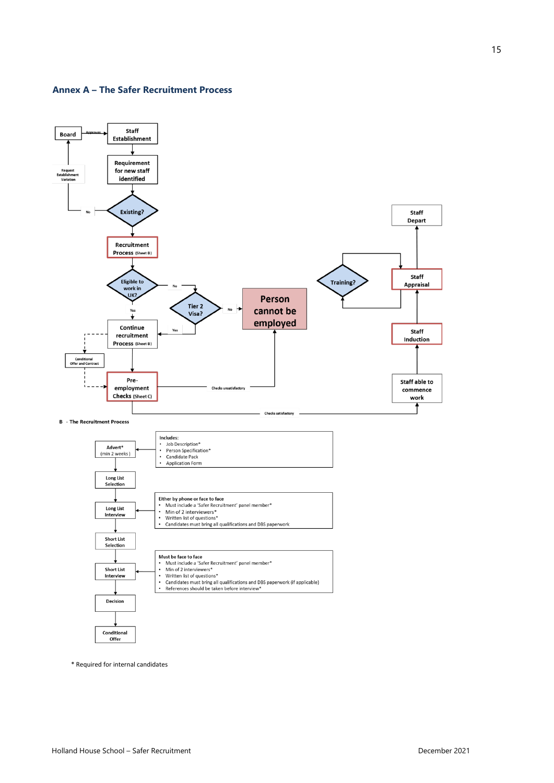#### **Annex A – The Safer Recruitment Process**



\* Required for internal candidates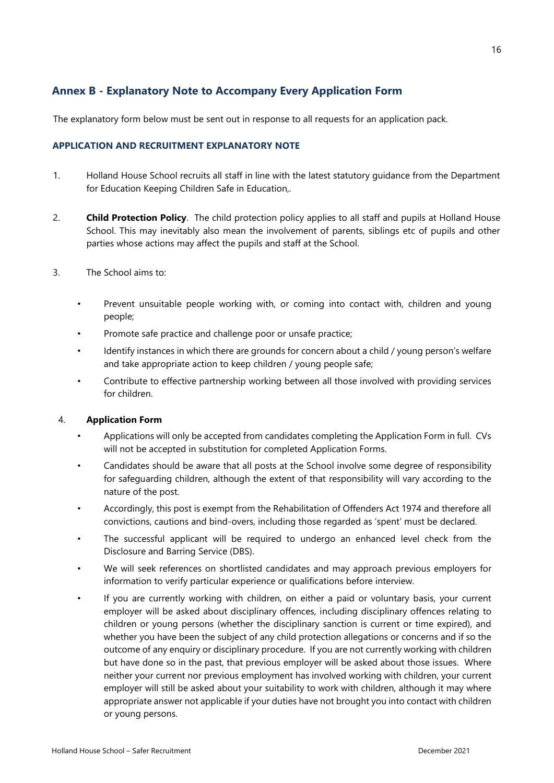### **Annex B - Explanatory Note to Accompany Every Application Form**

The explanatory form below must be sent out in response to all requests for an application pack.

### **APPLICATION AND RECRUITMENT EXPLANATORY NOTE**

- 1. Holland House School recruits all staff in line with the latest statutory guidance from the Department for Education Keeping Children Safe in Education,.
- 2. **Child Protection Policy**. The child protection policy applies to all staff and pupils at Holland House School. This may inevitably also mean the involvement of parents, siblings etc of pupils and other parties whose actions may affect the pupils and staff at the School.
- 3. The School aims to:
	- Prevent unsuitable people working with, or coming into contact with, children and young people;
	- Promote safe practice and challenge poor or unsafe practice;
	- Identify instances in which there are grounds for concern about a child / young person's welfare and take appropriate action to keep children / young people safe;
	- Contribute to effective partnership working between all those involved with providing services for children.

### 4. **Application Form**

- Applications will only be accepted from candidates completing the Application Form in full. CVs will not be accepted in substitution for completed Application Forms.
- Candidates should be aware that all posts at the School involve some degree of responsibility for safeguarding children, although the extent of that responsibility will vary according to the nature of the post.
- Accordingly, this post is exempt from the Rehabilitation of Offenders Act 1974 and therefore all convictions, cautions and bind-overs, including those regarded as 'spent' must be declared.
- The successful applicant will be required to undergo an enhanced level check from the Disclosure and Barring Service (DBS).
- We will seek references on shortlisted candidates and may approach previous employers for information to verify particular experience or qualifications before interview.
- If you are currently working with children, on either a paid or voluntary basis, your current employer will be asked about disciplinary offences, including disciplinary offences relating to children or young persons (whether the disciplinary sanction is current or time expired), and whether you have been the subject of any child protection allegations or concerns and if so the outcome of any enquiry or disciplinary procedure. If you are not currently working with children but have done so in the past, that previous employer will be asked about those issues. Where neither your current nor previous employment has involved working with children, your current employer will still be asked about your suitability to work with children, although it may where appropriate answer not applicable if your duties have not brought you into contact with children or young persons.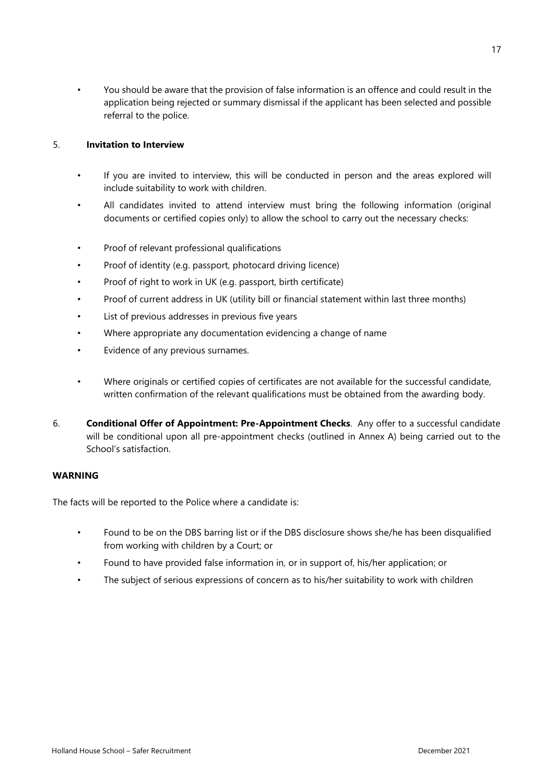• You should be aware that the provision of false information is an offence and could result in the application being rejected or summary dismissal if the applicant has been selected and possible referral to the police.

### 5. **Invitation to Interview**

- If you are invited to interview, this will be conducted in person and the areas explored will include suitability to work with children.
- All candidates invited to attend interview must bring the following information (original documents or certified copies only) to allow the school to carry out the necessary checks:
- Proof of relevant professional qualifications
- Proof of identity (e.g. passport, photocard driving licence)
- Proof of right to work in UK (e.g. passport, birth certificate)
- Proof of current address in UK (utility bill or financial statement within last three months)
- List of previous addresses in previous five years
- Where appropriate any documentation evidencing a change of name
- Evidence of any previous surnames.
- Where originals or certified copies of certificates are not available for the successful candidate, written confirmation of the relevant qualifications must be obtained from the awarding body.
- 6. **Conditional Offer of Appointment: Pre-Appointment Checks**. Any offer to a successful candidate will be conditional upon all pre-appointment checks (outlined in Annex A) being carried out to the School's satisfaction.

### **WARNING**

The facts will be reported to the Police where a candidate is:

- Found to be on the DBS barring list or if the DBS disclosure shows she/he has been disqualified from working with children by a Court; or
- Found to have provided false information in, or in support of, his/her application; or
- The subject of serious expressions of concern as to his/her suitability to work with children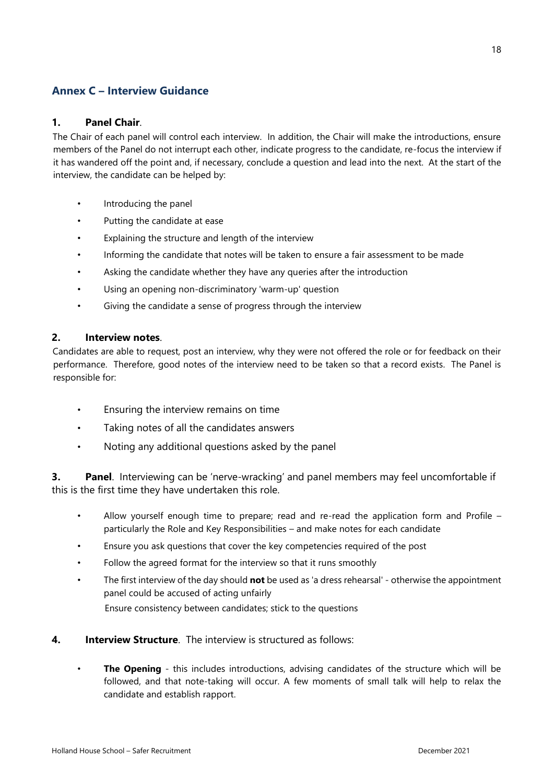### **Annex C – Interview Guidance**

### **1. Panel Chair**.

The Chair of each panel will control each interview. In addition, the Chair will make the introductions, ensure members of the Panel do not interrupt each other, indicate progress to the candidate, re-focus the interview if it has wandered off the point and, if necessary, conclude a question and lead into the next. At the start of the interview, the candidate can be helped by:

- Introducing the panel
- Putting the candidate at ease
- Explaining the structure and length of the interview
- Informing the candidate that notes will be taken to ensure a fair assessment to be made
- Asking the candidate whether they have any queries after the introduction
- Using an opening non-discriminatory 'warm-up' question
- Giving the candidate a sense of progress through the interview

### **2. Interview notes**.

Candidates are able to request, post an interview, why they were not offered the role or for feedback on their performance. Therefore, good notes of the interview need to be taken so that a record exists. The Panel is responsible for:

- Ensuring the interview remains on time
- Taking notes of all the candidates answers
- Noting any additional questions asked by the panel

**3. Panel**. Interviewing can be 'nerve-wracking' and panel members may feel uncomfortable if this is the first time they have undertaken this role.

- Allow yourself enough time to prepare; read and re-read the application form and Profile particularly the Role and Key Responsibilities – and make notes for each candidate
- Ensure you ask questions that cover the key competencies required of the post
- Follow the agreed format for the interview so that it runs smoothly
- The first interview of the day should **not** be used as 'a dress rehearsal' otherwise the appointment panel could be accused of acting unfairly Ensure consistency between candidates; stick to the questions
- **4. Interview Structure**. The interview is structured as follows:
	- **The Opening** this includes introductions, advising candidates of the structure which will be followed, and that note-taking will occur. A few moments of small talk will help to relax the candidate and establish rapport.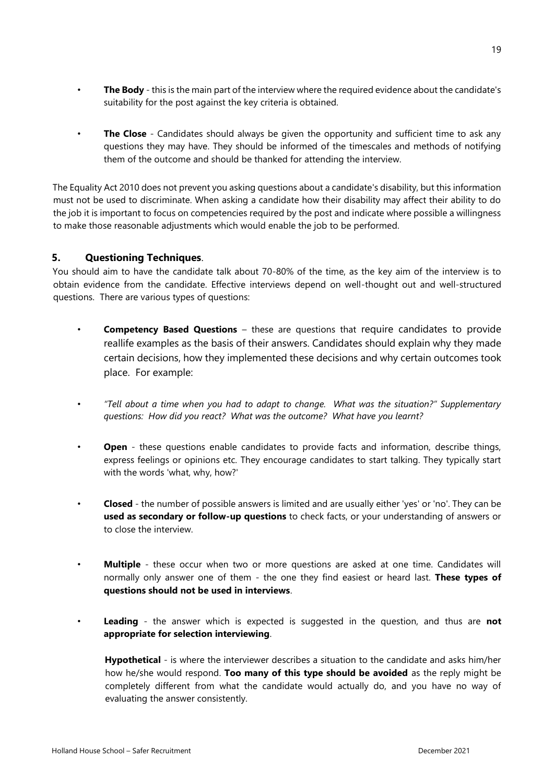- **The Body** this is the main part of the interview where the required evidence about the candidate's suitability for the post against the key criteria is obtained.
- **The Close** Candidates should always be given the opportunity and sufficient time to ask any questions they may have. They should be informed of the timescales and methods of notifying them of the outcome and should be thanked for attending the interview.

The Equality Act 2010 does not prevent you asking questions about a candidate's disability, but this information must not be used to discriminate. When asking a candidate how their disability may affect their ability to do the job it is important to focus on competencies required by the post and indicate where possible a willingness to make those reasonable adjustments which would enable the job to be performed.

### **5. Questioning Techniques**.

You should aim to have the candidate talk about 70-80% of the time, as the key aim of the interview is to obtain evidence from the candidate. Effective interviews depend on well-thought out and well-structured questions. There are various types of questions:

- **Competency Based Questions** these are questions that require candidates to provide reallife examples as the basis of their answers. Candidates should explain why they made certain decisions, how they implemented these decisions and why certain outcomes took place. For example:
- *"Tell about a time when you had to adapt to change. What was the situation?" Supplementary questions: How did you react? What was the outcome? What have you learnt?*
- **Open** these questions enable candidates to provide facts and information, describe things, express feelings or opinions etc. They encourage candidates to start talking. They typically start with the words 'what, why, how?'
- **Closed** the number of possible answers is limited and are usually either 'yes' or 'no'. They can be **used as secondary or follow-up questions** to check facts, or your understanding of answers or to close the interview.
- **Multiple** these occur when two or more questions are asked at one time. Candidates will normally only answer one of them - the one they find easiest or heard last. **These types of questions should not be used in interviews**.
- **Leading** the answer which is expected is suggested in the question, and thus are **not appropriate for selection interviewing**.

**Hypothetical** - is where the interviewer describes a situation to the candidate and asks him/her how he/she would respond. **Too many of this type should be avoided** as the reply might be completely different from what the candidate would actually do, and you have no way of evaluating the answer consistently.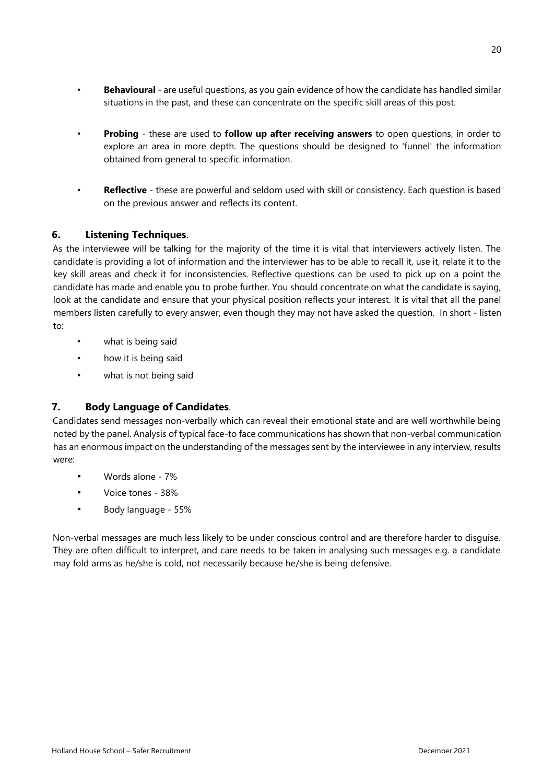- **Behavioural** are useful questions, as you gain evidence of how the candidate has handled similar situations in the past, and these can concentrate on the specific skill areas of this post.
- **Probing**  these are used to **follow up after receiving answers** to open questions, in order to explore an area in more depth. The questions should be designed to 'funnel' the information obtained from general to specific information.
- **Reflective**  these are powerful and seldom used with skill or consistency. Each question is based on the previous answer and reflects its content.

### **6. Listening Techniques**.

As the interviewee will be talking for the majority of the time it is vital that interviewers actively listen. The candidate is providing a lot of information and the interviewer has to be able to recall it, use it, relate it to the key skill areas and check it for inconsistencies. Reflective questions can be used to pick up on a point the candidate has made and enable you to probe further. You should concentrate on what the candidate is saying, look at the candidate and ensure that your physical position reflects your interest. It is vital that all the panel members listen carefully to every answer, even though they may not have asked the question. In short - listen to:

- what is being said
- how it is being said
- what is not being said

### **7. Body Language of Candidates**.

Candidates send messages non-verbally which can reveal their emotional state and are well worthwhile being noted by the panel. Analysis of typical face-to face communications has shown that non-verbal communication has an enormous impact on the understanding of the messages sent by the interviewee in any interview, results were:

- Words alone 7%
- Voice tones 38%
- Body language 55%

Non-verbal messages are much less likely to be under conscious control and are therefore harder to disguise. They are often difficult to interpret, and care needs to be taken in analysing such messages e.g. a candidate may fold arms as he/she is cold, not necessarily because he/she is being defensive.